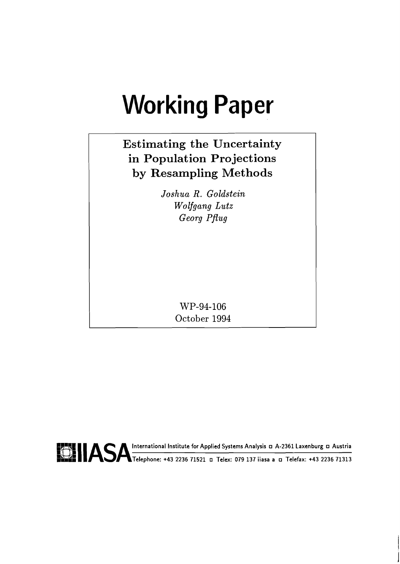# **Working Paper**

# **Estimating the Uncertainty in Population Projections by Resampling Methods**

*Joshua R. Goldstein Wolfgang Lutz Georg Pflug* 

> **WP-94-106 October 1994**

**PURIM INSTRUMENT IN INSTRUMENT IN THE INSTRUMENT OF APPLIED IN THE INCREDIBLY ALL TREAD IN THE INC.**<br> **OUTER IN INSTRUMENT IN INSTRUMENT IN INSTRUMENT IN INSTRUMENT IN INSTRUMENT IN INSTRUMENT IN ITAL TREAD IN ITAL TREAD**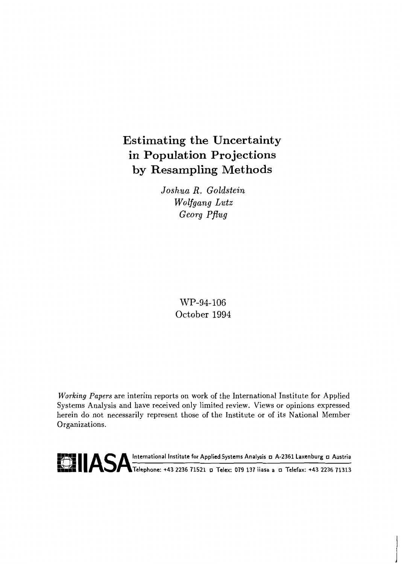## Estimating the Uncertainty in Population Projections by Resampling Methods

*Joshua R. Goldstein Wolfgang Lutz Georg Pflug* 

> WP-94-106 October 1994

**Working** Papers are interim reports on work of the International Institute for Applied Systems Analysis and have received only limited review. Views or opinions expressed herein do not necessarily represent those of the Institute or of its National Member Organizations.

**FILASA International Institute for Applied Systems Analysis D A-2361 Laxenburg D Austria kb;: The Telephone: +43 2236 71521 o** Telex: 079 137 iiasa a ¤ Telefax: +43 2236 71313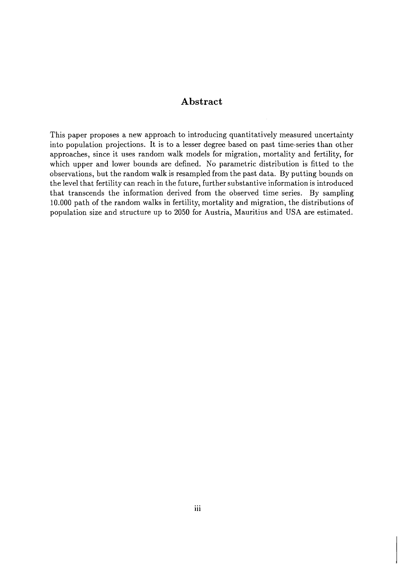#### **Abstract**

This paper proposes a new approach to introducing quantitatively measured uncertainty into population projections. It is to a lesser degree based on past time-series than other approaches, since it uses random walk models for migration, mortality and fertility, for which upper and lower bounds are defined. No parametric distribution is fitted to the observations, but the random walk is resampled from the past data. By putting bounds on the level that fertility can reach in the future, further substantive information is introduced that transcends the information derived from the observed time series. By sampling 10.000 path of the random walks in fertility, mortality and migration, the distributions of population size and structure up to 2050 for Austria, Mauritius and USA are estimated.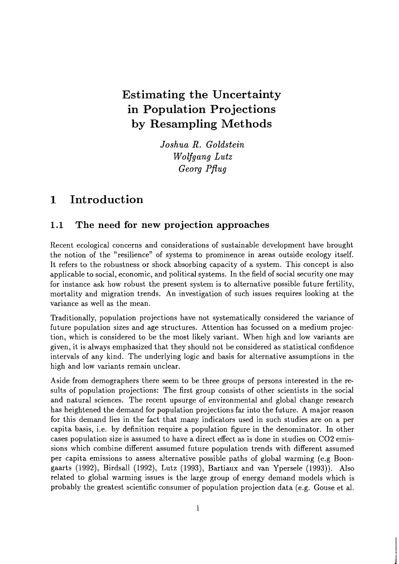## **Estimating the Uncertainty in Population Projections by Resampling Methods**

*Joshua R. Goldstein TVolfgang Lutz*   $Geora$  *Pflug* 

## **1 Introduction**

### **1.1 The need for new projection approaches**

Recent ecological concerns and considerations of sustainable development have brought the notion of the "resilience" of systems to prominence in areas outside ecology itself. It refers to the robustness or shock absorbing capacity of a system. This concept is also applicable to social, economic, and political systems. In the field of social security one may for instance ask how robust the present system is to alternative possible future fertility, mortality and migration trends. An investigation of such issues requires looking at the variance as well as the mean.

Traditionally, population projections have not systematically considered the variance of future population sizes and age structures. Attention has focussed on a medium projection, which is considered to be the most likely variant. When high and low variants are given, it is always emphasized that they should not be considered as statistical confidence intervals of any kind. The underlying logic and basis for alternative assumptions in the high and low variants remain unclear.

Aside from demographers there seem to be three groups of persons interested in the results of population projections: The first group consists of other scientists in the social and natural sciences. The recent upsurge of environmental and global change research has heightened the demand for population projections far into the future. A major reason for this demand lies in the fact that many indicators used in such studies are on a per capita basis, i.e. by definition require a population figure in the denominator. In other cases population size is assumed to have a direct effect as is done in studies on C02 emissions which combine different assumed future population trends with different assumed per capita emissions to assess alternative possible paths of global warming (e.g Boongaarts (1992), Birdsall (1992), Lutz (1993), Bartiaux and van Ypersele (1993)). Also related to global warming issues is the large group of energy demand models which is probably the greatest scientific consumer of population projection data (e.g. Gouse et al.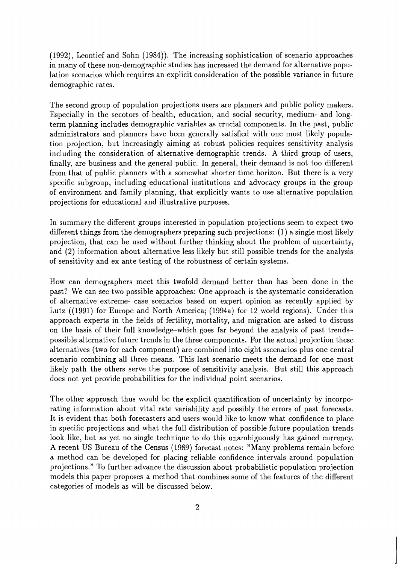(1992), Leontief and Sohn (1984)). The increasing sophistication of scenario approaches in many of these non-demographic studies has increased the demand for alternative population scenarios which requires an explicit consideration of the possible variance in future demographic rates.

The second group of population projections users are planners and public policy makers. Especially in the secotors of health, education, and social security, medium- and longterm planning includes demographic variables as crucial components. In the past, public administrators and planners have been generally satisfied with one most likely population projection, but increasingly aiming at robust policies requires sensitivity analysis including the consideration of alternative demographic trends. A third group of users, finally, are business and the general public. In general, their demand is not too different from that of public planners with a somewhat shorter time horizon. But there is a very specific subgroup, including educational institutions and advocacy groups in the group of environment and family planning, that explicitly wants to use alternative population projections for educational and illustrative purposes.

In summary the different groups interested in population projections seem to expect two different things from the demographers preparing such projections: (1) a single most likely projection, that can be used without further thinking about the problem of uncertainty, and (2) information about alternative less likely but still possible trends for the analysis of sensitivity and ex ante testing of the robustness of certain systems.

How can demographers meet this twofold demand better than has been done in the past? We can see two possible approaches: One approach is the systematic consideration of alternative extreme- case scenarios based on expert opinion as recently applied by Lutz ((1991) for Europe and North America; (1994a) for 12 world regions). Under this approach experts in the fields of fertility, mortality, and migration are asked to discuss on the basis of their full knowledge-which goes far beyond the analysis of past trendspossible alternative future trends in the three components. For the actual projection these alternatives (two for each component) are combined into eight scenarios plus one central scenario combining all three means. This last scenario meets the demand for one most likely path the others serve the purpose of sensitivity analysis. But still this approach does not yet provide probabilities for the individual point scenarios.

The other approach thus would be the explicit quantification of uncertainty by incorporating information about vital rate variability and possibly the errors of past forecasts. It is evident that both forecasters and users would like to know what confidence to place in specific projections and what the full distribution of possible future population trends look like, but as yet no single technique to do this unambiguously has gained currency. A recent US Bureau of the Census (1989) forecast notes: "Many problems remain before a method can be developed for placing reliable confidence intervals around population projections." To further advance the discussion about probabilistic population projection models this paper proposes a method that combines some of the features of the different categories of models as will be discussed below.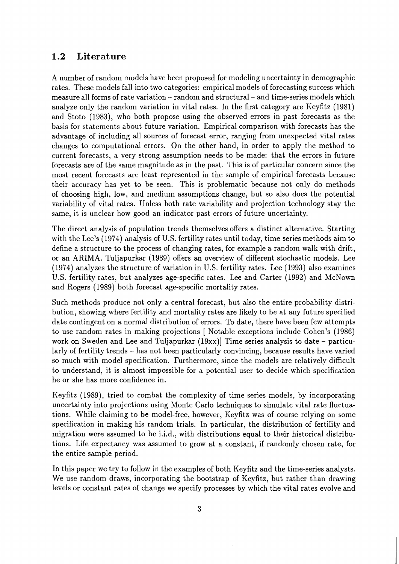### **1.2 Literature**

A number of random models have been proposed for modeling uncertainty in demographic rates. These models fall into two categories: empirical models of forecasting success which measure all forms of rate variation - random and structural - and time-series models which analyze only the random variation in vital rates. In the first category are Keyfitz (1981) and Stoto (1983)) who both propose using the observed errors in past forecasts as the basis for statements about future variation. Empirical comparison with forecasts has the advantage of including all sources of forecast error, ranging from unexpected vital rates changes to computational errors. On the other hand, in order to apply the method to current forecasts, a very strong assumption needs to be made: that the errors in future forecasts are of the same magnitude as in the past. This is of particular concern since the most recent forecasts are least represented in the sample of empirical forecasts because their accuracy has yet to be seen. This is problematic because not only do methods of choosing high, low, and medium assumptions change, but so also does the potential variability of vital rates. Unless both rate variability and projection technology stay the same, it is unclear how good an indicator past errors of future uncertainty.

The direct analysis of population trends themselves offers a distinct alternative. Starting with the Lee's (1974) analysis of U.S. fertility rates until today, time-series methods aim to define a structure to the process of changing rates, for example a random walk with drift, or an ARIMA. Tuljapurkar (1989) offers an overview of different stochastic models. Lee (1974) analyzes the structure of variation in U.S. fertility rates. Lee (1993) also examines U.S. fertility rates, but analyzes age-specific rates. Lee and Carter (1992) and McNown and Rogers (1989) both forecast age-specific mortality rates.

Such methods produce not only a central forecast, but also the entire probability distribution, showing where fertility and mortality rates are likely to be at any future specified date contingent on a normal distribution of errors. To date, there have been few attempts to use random rates in making projections [ Notable exceptions include Cohen's (1986) work on Sweden and Lee and Tuljapurkar  $(19xx)$ ] Time-series analysis to date – particularly of fertility trends - has not been particularly convincing, because results have varied so much with model specification. Furthermore, since the models are relatively difficult to understand, it is almost impossible for a potential user to decide which specification he or she has more confidence in.

Keyfitz (1989), tried to combat the complexity of time series models, by incorporating uncertainty into projections using Monte Carlo techniques to simulate vital rate fluctuations. While claiming to be model-free, however, Keyfitz was of course relying on some specification in making his random trials. In particular, the distribution of fertility and migration were assumed to be i.i.d., with distributions equal to their historical distributions. Life expectancy was assumed to grow at a constant, if randomly chosen rate, for the entire sample period.

In this paper we try to follow in the examples of both Keyfitz and the time-series analysts. We use random draws, incorporating the bootstrap of Keyfitz, but rather than drawing levels or constant rates of change we specify processes by which the vital rates evolve and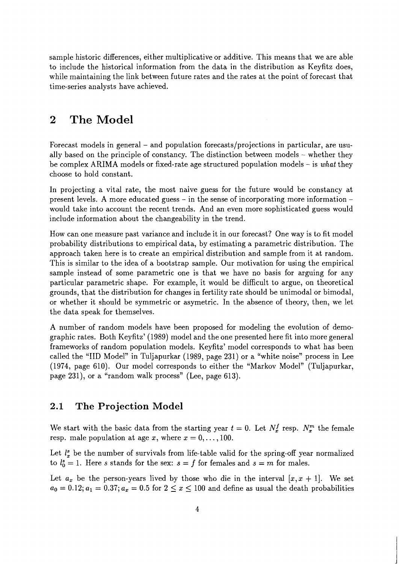sample historic differences, either multiplicative or additive. This means that we are able to include the historical information from the data in the distribution as Keyfitz does, while maintaining the link between future rates and the rates at the point of forecast that time-series analysts have achieved.

#### $\bf{2}$ **The Model**

Forecast models in general – and population forecasts/projections in particular, are usually based on the principle of constancy. The distinction between models - whether they be complex ARIMA models or fixed-rate age structured population models - is **what** they choose to hold constant.

In projecting a vital rate, the most naive guess for the future would be constancy at present levels. A more educated guess  $-$  in the sense of incorporating more information  $$ would take into account the recent trends. And an even more sophisticated guess would include information about the changeability in the trend.

How can one measure past variance and include it in our forecast? One way is to fit model probability distributions to empirical data, by estimating a parametric distribution. The approach taken here is to create an empirical distribution and sample from it at random. This is similar to the idea of a bootstrap sample. Our motivation for using the empirical sample instead of some parametric one is that we have no basis for arguing for any particular parametric shape. For example, it would be difficult to argue, on theoretical grounds, that the distribution for changes in fertility rate should be unimodal or bimodal, or whether it should be symmetric or asymetric. In the absence of theory, then, we let the data speak for themselves.

A number of random models have been proposed for modeling the evolution of demographic rates. Both Keyfitz' (1989) model and the one presented here fit into more general frameworks of random population models. Keyfitz' model corresponds to what has been called the "IID Model" in Tuljapurkar (1989, page 231) or a "white noise" process in Lee (1974, page 610). Our model corresponds to either the "Markov Model" (Tuljapurkar, page 231)) or a "random walk process" (Lee, page 613).

#### **2.1 The Projection Model**

We start with the basic data from the starting year  $t = 0$ . Let  $N_x^f$  resp.  $N_x^m$  the female resp. male population at age x, where  $x = 0, \ldots, 100$ .

Let  $l_x^s$  be the number of survivals from life-table valid for the spring-off year normalized to  $l_0^s = 1$ . Here *s* stands for the sex:  $s = f$  for females and  $s = m$  for males.

Let  $a_x$  be the person-years lived by those who die in the interval  $[x, x + 1]$ . We set  $a_0 = 0.12; a_1 = 0.37; a_x = 0.5$  for  $2 \le x \le 100$  and define as usual the death probabilities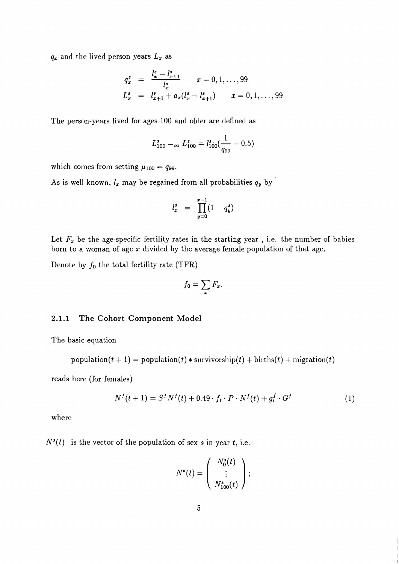$q_x$  and the lived person years  $L_x$  as

$$
q_x^s = \frac{l_x^s - l_{x+1}^s}{l_x^s} \qquad x = 0, 1, ..., 99
$$
  

$$
L_x^s = l_{x+1}^s + a_x(l_x^s - l_{x+1}^s) \qquad x = 0, 1, ..., 99
$$

The person-years lived for ages 100 and older are defined as

$$
L_{100}^{s} = \, \simeq L_{100}^{s} = l_{100}^{s} \left( \frac{1}{q_{99}} - 0.5 \right)
$$

which comes from setting  $\mu_{100} = q_{99}$ .

As is well known,  $l_x$  may be regained from all probabilities  $q_y$  by

$$
l_x^s = \prod_{y=0}^{x-1} (1 - q_y^s)
$$

Let  $F_x$  be the age-specific fertility rates in the starting year, i.e. the number of babies born to a woman of age  $x$  divided by the average female population of that age.

Denote by  $f_0$  the total fertility rate (TFR)

$$
f_0 = \sum_x F_x.
$$

#### **2.1.1 The Cohort Component Model**

The basic equation

population(t + 1) = population(t) \* survivorship(t) + births(t) + migration(t)

reads here (for females)

$$
N^{f}(t+1) = S^{f}N^{f}(t) + 0.49 \cdot f_{t} \cdot P \cdot N^{f}(t) + g_{t}^{f} \cdot G^{f}
$$
 (1)

where

 $N^{s}(t)$  is the vector of the population of sex s in year t, i.e.

$$
N^{s}(t) = \left(\begin{array}{c}N_{0}^{s}(t) \\ \vdots \\ N_{100}^{s}(t)\end{array}\right);
$$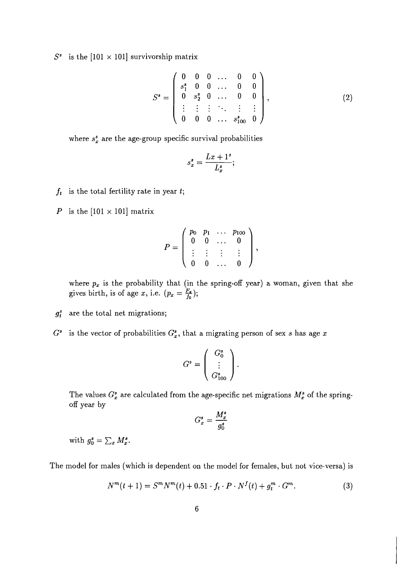$S^s$  is the [101  $\times$  101] survivorship matrix

$$
S^s = \begin{pmatrix} 0 & 0 & 0 & \dots & 0 & 0 \\ s_1^s & 0 & 0 & \dots & 0 & 0 \\ 0 & s_2^s & 0 & \dots & 0 & 0 \\ \vdots & \vdots & \vdots & \ddots & \vdots & \vdots \\ 0 & 0 & 0 & \dots & s_{100}^s & 0 \end{pmatrix},
$$
 (2)

where  $s_x^s$  are the age-group specific survival probabilities

$$
s_x^s = \frac{Lx + 1^s}{L_x^s};
$$

- $f_t$  is the total fertility rate in year  $t$ ;
- P is the  $[101 \times 101]$  matrix

$$
P=\left(\begin{array}{cccc}p_0 & p_1 & \ldots & p_{100}\\ 0 & 0 & \ldots & 0 \\ \vdots & \vdots & \vdots & \vdots \\ 0 & 0 & \ldots & 0\end{array}\right),
$$

where  $p_x$  is the probability that (in the spring-off year) a woman, given that she gives birth, is of age x, i.e.  $(p_x = \frac{F_x}{f_0});$ 

- $g_t^s$  are the total net migrations;
- $G^s$  is the vector of probabilities  $G_x^s$ , that a migrating person of sex s has age x

$$
G^s = \left(\begin{array}{c} G_0^s \\ \vdots \\ G_{100}^s \end{array}\right).
$$

The values  $G_x^s$  are calculated from the age-specific net migrations  $M_x^s$  of the springoff year by

$$
G_x^s=\frac{M_x^s}{g_0^s}
$$

with  $g_0^s = \sum_x M_x^s$ .

The model for males (which is dependent on the model for females, but not vice-versa) is

$$
N^{m}(t+1) = S^{m}N^{m}(t) + 0.51 \cdot f_{t} \cdot P \cdot N^{f}(t) + g_{t}^{m} \cdot G^{m}.
$$
 (3)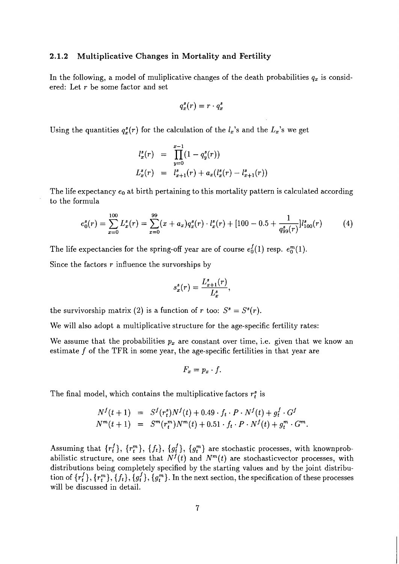#### **2.1.2 Multiplicative Changes in Mortality and Fertility**

In the following, a model of muliplicative changes of the death probabilities  $q_x$  is considered: Let r be some factor and set

$$
q_x^s(r) = r \cdot q_x^s
$$

Using the quantities  $q_x^s(r)$  for the calculation of the  $l_x$ 's and the  $L_x$ 's we get

$$
l_x^s(r) = \prod_{y=0}^{x-1} (1 - q_y^s(r))
$$
  

$$
L_x^s(r) = l_{x+1}^s(r) + a_x(l_x^s(r) - l_{x+1}^s(r))
$$

The life expectancy  $e_0$  at birth pertaining to this mortality pattern is calculated according to the formula

$$
e_0^s(r) = \sum_{x=0}^{100} L_x^s(r) = \sum_{x=0}^{99} (x + a_x) q_x^s(r) \cdot l_x^s(r) + [100 - 0.5 + \frac{1}{q_{99}^s(r)}] l_{100}^s(r) \tag{4}
$$

The life expectancies for the spring-off year are of course  $e_0^f(1)$  resp.  $e_0^m(1)$ .

Since the factors  $r$  influence the survorships by

$$
s_x^s(r) = \frac{L_{x+1}^s(r)}{L_x^s},
$$

the survivorship matrix (2) is a function of r too:  $S^s = S^s(r)$ .

We will also adopt a multiplicative structure for the age-specific fertility rates:

We assume that the probabilities  $p_x$  are constant over time, i.e. given that we know an estimate  $f$  of the TFR in some year, the age-specific fertilities in that year are

$$
F_x=p_x\cdot f.
$$

The final model, which contains the multiplicative factors  $r_t^s$  is

$$
N^{f}(t+1) = S^{f}(r_{t}^{s})N^{f}(t) + 0.49 \cdot f_{t} \cdot P \cdot N^{f}(t) + g_{t}^{f} \cdot G^{f}
$$
  

$$
N^{m}(t+1) = S^{m}(r_{t}^{m})N^{m}(t) + 0.51 \cdot f_{t} \cdot P \cdot N^{f}(t) + g_{t}^{m} \cdot G^{m}.
$$

Assuming that  $\{r_t^f\},$   $\{r_t^m\},$   $\{f_t\},$   $\{g_t^f\},$   $\{g_t^m\}$  are stochastic processes, with knownprobabilistic structure, one sees that  $N<sup>f</sup>(t)$  and  $N<sup>m</sup>(t)$  are stochasticvector processes, with distributions being completely specified by the starting values and by the joint distribution of  $\{r_t^f\}, \{r_t^m\}, \{f_t\}, \{g_t^f\}, \{g_t^m\}$ . In the next section, the specification of these processes will be discussed in detail.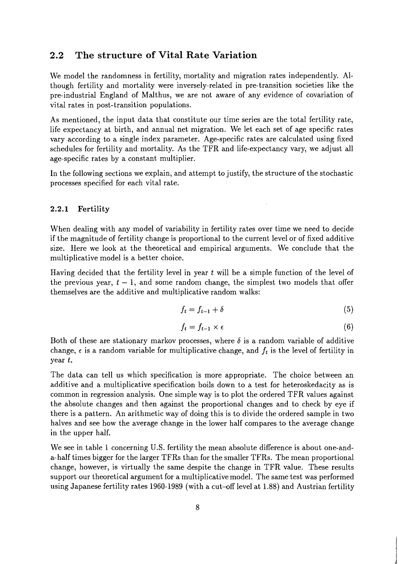#### **2.2 The structure of Vital Rate Variation**

We model the randomness in fertility, mortality and migration rates independently. Although fertility and mortality were inversely-related in pre-transition societies like the pre-industrial England of Malthus, we are not aware of any evidence of covariation of vital rates in post-transition populations.

As mentioned, the input data that constitute our time series are the total fertility rate, life expectancy at birth, and annual net migration. We let each set of age specific rates vary according to a single index parameter. Age-specific rates are calculated using fixed schedules for fertility and mortality. As the TFR and life-expectancy vary, we adjust all age-specific rates by a constant multiplier.

In the following sections we explain, and attempt to justify, the structure of the stochastic processes specified for each vital rate.

#### 2.2.1 Fertility

When dealing with any model of variability in fertility rates over time we need to decide if the magnitude of fertility change is proportional to the current level or of fixed additive size. Here we look at the theoretical and empirical arguments. We conclude that the multiplicative model is a better choice.

Having decided that the fertility level in year *t* will be a simple function of the level of the previous year,  $t-1$ , and some random change, the simplest two models that offer themselves are the additive and multiplicative random walks:

$$
f_t = f_{t-1} + \delta \tag{5}
$$

$$
f_t = f_{t-1} \times \epsilon \tag{6}
$$

Both of these are stationary markov processes, where  $\delta$  is a random variable of additive change,  $\epsilon$  is a random variable for multiplicative change, and  $f_t$  is the level of fertility in year *t.* 

The data can tell us which specification is more appropriate. The choice between an additive and a multiplicative specification boils down to a test for heteroskedacity as is common in regression analysis. One simple way is to plot the ordered TFR values against the absolute changes and then against the proportional changes and to check by eye if there is a pattern. An arithmetic way of doing this is to divide the ordered sample in two halves and see how the average change in the lower half compares to the average change in the upper half.

We see in table 1 concerning U.S. fertility the mean absolute difference is about one-anda- half times bigger for the larger TFRs than for the smaller TFRs. The mean proportional change, however, is virtually the same despite the change in TFR value. These results support our theoretical argument for a multiplicative model. The same test was performed using Japanese fertility rates 1960-1989 (with a cut-off level at 1.88) and Austrian fertility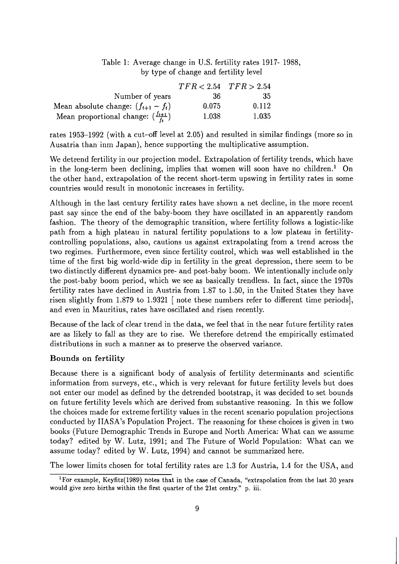#### Table 1: Average change in U.S. fertility rates 1917- 1988, by type of change and fertility level

|                                                   |       | $TFR < 2.54$ $TFR > 2.54$ |
|---------------------------------------------------|-------|---------------------------|
| Number of years                                   | 36    | -35                       |
| Mean absolute change: $(f_{t+1} - f_t)$           | 0.075 | 0.112                     |
| Mean proportional change: $(\frac{f_{t+1}}{f_t})$ | 1.038 | 1.035                     |

rates 1953-1992 (with a cut-off level at 2.05) and resulted in similar findings (more so in Ausatria than inm Japan), hence supporting the multiplicative assumption.

We detrend fertility in our projection model. Extrapolation of fertility trends, which have in the long-term been declining, implies that women will soon have no children.' On the other hand, extrapolation of the recent short-term upswing in fertility rates in some countries would result in monotonic increases in fertility.

Although in the last century fertility rates have shown a net decline, in the more recent past say since the end of the baby-boom they have oscillated in an apparently random fashion. The theory of the demographic transition, where fertility follows a logistic-like path from a high plateau in natural fertility populations to a low plateau in fertilitycontrolling populations, also, cautions us against extrapolating from a trend across the two regimes. Furthermore, even since fertility control, which was well established in the time of the first big world-wide dip in fertility in the great depression, there seem to be two distinctly different dynamics pre- and post-baby boom. We intentionally include only the post-baby boom period, which we see as basically trendless. In fact, since the 1970s fertility rates have declined in Austria from 1.87 to 1.50, in the United States they have risen slightly from 1.879 to 1.9321 [ note these numbers refer to different time periods], and even in Mauritius, rates have oscillated and risen recently.

Because of the lack of clear trend in the data, we feel that in the near future fertility rates are as likely to fall as they are to rise. We therefore detrend the empirically estimated distributions in such a manner as to preserve the observed variance.

#### **Bounds on** fertility

Because there is a significant body of analysis of fertility determinants and scientific information from surveys, etc., which is very relevant for future fertility levels but does not enter our model as defined by the detrended bootstrap, it was decided to set bounds on future fertility levels which are derived from substantive reasoning. In this we follow the choices made for extreme fertility values in the recent scenario population projections conducted by IIASA's Population Project. The reasoning for these choices is given in two books (Future Demographic Trends in Europe and North America: What can we assume today? edited by W. Lutz, 1991; and The Future of World Population: What can we assume today? edited by W. Lutz, 1994) and cannot be summarized here.

The lower limits chosen for total fertility rates are 1.3 for Austria, 1.4 for the USA, and

<sup>&</sup>lt;sup>1</sup>For example, Keyfitz(1989) notes that in the case of Canada, "extrapolation from the last 30 years would give zero births within the first quarter of the 21st centry." p. iii.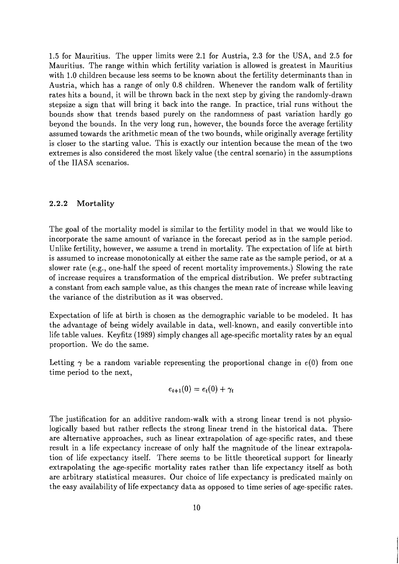1.5 for Mauritius. The upper limits were 2.1 for Austria, 2.3 for the USA, and 2.5 for Mauritius. The range within which fertility variation is allowed is greatest in Mauritius with 1.0 children because less seems to be known about the fertility determinants than in Austria, which has a range of only 0.8 children. Whenever the random walk of fertility rates hits a bound, it will be thrown back in the next step by giving the randomly-drawn stepsize a sign that will bring it back into the range. In practice, trial runs without the bounds show that trends based purely on the randomness of past variation hardly go beyond the bounds. In the very long run, however, the bounds force the average fertility assumed towards the arithmetic mean of the two bounds, while originally average fertility is closer to the starting value. This is exactly our intention because the mean of the two extremes is also considered the most likely value (the central scenario) in the assumptions of the IIASA scenarios.

#### **2.2.2 Mortality**

The goal of the mortality model is similar to the fertility model in that we would like to incorporate the same amount of variance in the forecast period as in the sample period. Unlike fertility, however, we assume a trend in mortality. The expectation of life at birth is assumed to increase monotonically at either the same rate as the sample period, or at a slower rate (e.g., one-half the speed of recent mortality improvements.) Slowing the rate of increase requires a transformation of the emprical distribution. We prefer subtracting a constant from each sample value, as this changes the mean rate of increase while leaving the variance of the distribution as it was observed.

Expectation of life at birth is chosen as the demographic variable to be modeled. It has the advantage of being widely available in data, well-known, and easily convertible into life table values. Keyfitz (1989) simply changes all age-specific mortality rates by an equal proportion. We do the same.

Letting  $\gamma$  be a random variable representing the proportional change in  $e(0)$  from one time period to the next,

$$
e_{t+1}(0)=e_t(0)+\gamma_t
$$

The justification for an additive random-walk with a strong linear trend is not physiologically based but rather reflects the strong linear trend in the historical data. There are alternative approaches, such as linear extrapolation of age-specific rates, and these result in a life expectancy increase of only half the magnitude of the linear extrapolation of life expectancy itself. There seems to be little theoretical support for linearly extrapolating the age-specific mortality rates rather than life expectancy itself as both are arbitrary statistical measures. Our choice of life expectancy is predicated mainly on the easy availability of life expectancy data as opposed to time series of age-specific rates.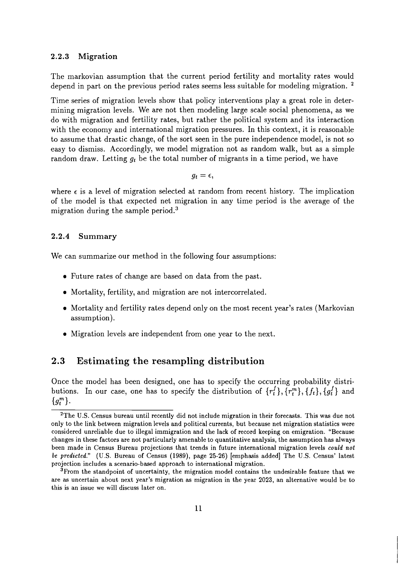#### **2.2.3 Migration**

The markovian assumption that the current period fertility and mortality rates would depend in part on the previous period rates seems less suitable for modeling migration.<sup>2</sup>

Time series of migration levels show that policy interventions play a great role in determining migration levels. We are not then modeling large scale social phenomena, as we do with migration and fertility rates, but rather the political system and its interaction with the economy and international migration pressures. In this context, it is reasonable to assume that drastic change, of the sort seen in the pure independence model, is not so easy to dismiss. Accordingly, we model migration not as random walk, but as a simple random draw. Letting  $q_t$  be the total number of migrants in a time period, we have

 $g_t = \epsilon$ ,

where  $\epsilon$  is a level of migration selected at random from recent history. The implication of the model is that expected net migration in any time period is the average of the migration during the sample period. $3$ 

#### **2.2.4 Summary**

We can summarize our method in the following four assumptions:

- Future rates of change are based on data from the past.
- Mortality, fertility, and migration are not intercorrelated.
- Mortality and fertility rates depend only on the most recent year's rates (Markovian assumption).
- Migration levels are independent from one year to the next.

### **2.3 Estimating the resampling distribution**

Once the model has been designed, one has to specify the occurring probability distributions. In our case, one has to specify the distribution of  $\{r_t^f\}$ ,  $\{r_t^m\}$ ,  $\{f_t\}$ ,  $\{g_t^f\}$  and  $\{g_t^m\}.$ 

<sup>&</sup>lt;sup>2</sup>The U.S. Census bureau until recently did not include migration in their forecasts. This was due not only to the link between migration levels and political currents, but because net migration statistics were considered unreliable due to illegal immigration and the lack of record keeping on emigration. "Because changes in these factors are not particularly amenable to quantitative analysis, the assumption has always been made in Census Bureau projections that trends in future international migration levels *could not be predicted."* **(U.S.** Bureau of Census **(1989),** page 25-26) [emphasis added] The **U.S.** Census' latest projection includes a scenario-based approach to international migration.

<sup>&</sup>lt;sup>3</sup>From the standpoint of uncertainty, the migration model contains the undesirable feature that we are as uncertain about next year's migration as migration in the year **2023,** an alternative would be to this is an issue we will discuss later on.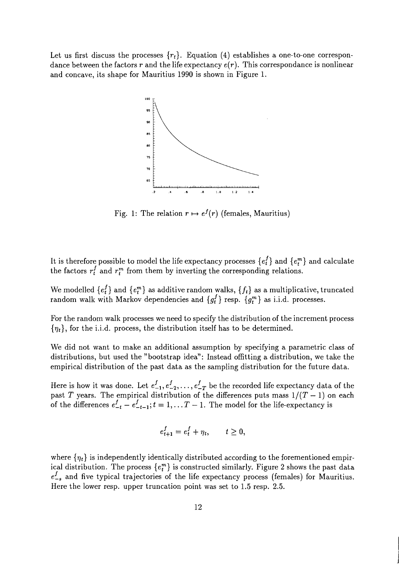Let us first discuss the processes  $\{r_t\}$ . Equation (4) establishes a one-to-one correspondance between the factors r and the life expectancy  $e(r)$ . This correspondance is nonlinear and concave, its shape for Mauritius 1990 is shown in Figure 1.



Fig. 1: The relation  $r \mapsto e^f(r)$  (females, Mauritius)

It is therefore possible to model the life expectancy processes  $\{e_t^f\}$  and  $\{e_t^m\}$  and calculate the factors  $r_t^f$  and  $r_t^m$  from them by inverting the corresponding relations.

We modelled  $\{e_t^f\}$  and  $\{e_t^m\}$  as additive random walks,  $\{f_t\}$  as a multiplicative, truncated random walk with Markov dependencies and  $\{g_t^f\}$  resp.  $\{g_t^m\}$  as i.i.d. processes.

For the random walk processes we need to specify the distribution of the increment process  ${\eta_t}$ , for the i.i.d. process, the distribution itself has to be determined.

We did not want to make an additional assumption by specifying a parametric class of distributions, but used the "bootstrap idea": Instead offitting a distribution, we take the empirical distribution of the past data as the sampling distribution for the future data.

Here is how it was done. Let  $e_{-1}^f, e_{-2}^f, \ldots, e_{-T}^f$  be the recorded life expectancy data of the past  $T$  years. The empirical distribution of the differences puts mass  $1/(T-1)$  on each of the differences  $e_{-t}^f - e_{-t-1}^f$ ;  $t = 1, \ldots T - 1$ . The model for the life-expectancy is

$$
e_{t+1}^f = e_t^f + \eta_t, \qquad t \ge 0,
$$

where  $\{\eta_t\}$  is independently identically distributed according to the forementioned empirical distribution. The process  $\{e_i^m\}$  is constructed similarly. Figure 2 shows the past data  $e_{-s}^{f}$  and five typical trajectories of the life expectancy process (females) for Mauritius. Here the lower resp. upper truncation point was set to 1.5 resp. 2.5.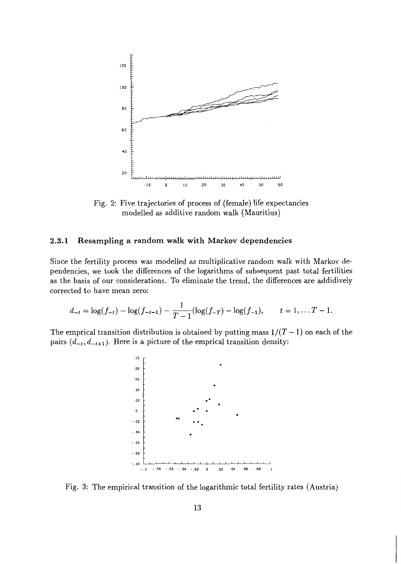

Fig. 2: Five trajectories of process of (female) life expectancies modelled as additive random walk (Mauritius)

#### **2.3.1 Resampling a random walk with Markov dependencies**

Since the fertility process was modelled as multiplicative random walk with Markov dependencies, we took the differences of the logarithms of subsequent past total fertilities as the basis of our considerations. To eliminate the trend, the differences are addidively corrected to have mean zero:

$$
d_{-t} = \log(f_{-t}) - \log(f_{-t-1}) - \frac{1}{T-1}(\log(f_{-T}) - \log(f_{-1}), \qquad t = 1, \ldots T-1.
$$

The emprical transition distribution is obtained by putting mass  $1/(T-1)$  on each of the pairs  $(d_{-t}, d_{-t+1})$ . Here is a picture of the emprical transition density:



Fig. 3: The empirical transition of the logarithmic total fertility rates (Austria)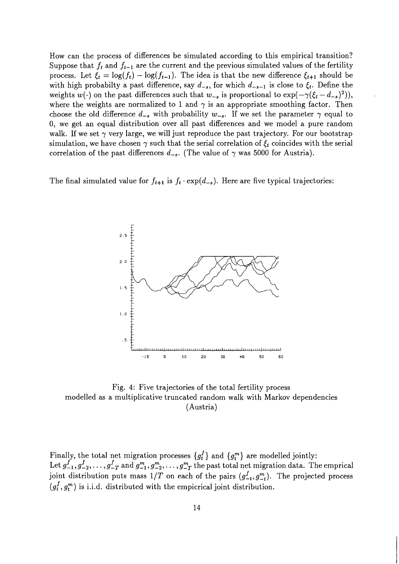How can the process of differences be simulated according to this empirical transition? Suppose that  $f_t$  and  $f_{t-1}$  are the current and the previous simulated values of the fertility process. Let  $\xi_t = \log(f_t) - \log(f_{t-1})$ . The idea is that the new difference  $\xi_{t+1}$  should be with high probabilty a past difference, say  $d_{-s}$ , for which  $d_{-s-1}$  is close to  $\xi_t$ . Define the weights  $w(\cdot)$  on the past differences such that  $w_{-s}$  is proportional to  $\exp(-\gamma(\xi_t - d_{-s})^2))$ , where the weights are normalized to 1 and  $\gamma$  is an appropriate smoothing factor. Then choose the old difference  $d_{-s}$  with probability  $w_{-s}$ . If we set the parameter  $\gamma$  equal to 0, we get an equal distribution over all past differences and we model a pure random walk. If we set  $\gamma$  very large, we will just reproduce the past trajectory. For our bootstrap simulation, we have chosen  $\gamma$  such that the serial correlation of  $\xi_t$  coincides with the serial correlation of the past differences  $d_{-s}$ . (The value of  $\gamma$  was 5000 for Austria).

The final simulated value for  $f_{t+1}$  is  $f_t \cdot \exp(d_{-s})$ . Here are five typical trajectories:



Fig. 4: Five trajectories of the total fertility process modelled as a multiplicative truncated random walk with Markov dependencies (Austria)

Finally, the total net migration processes  $\{g_t^I\}$  and  $\{g_t^m\}$  are modelled jointly: Let  $g_{-1}^f, g_{-2}^f, \ldots, g_{-T}^f$  and  $g_{-1}^m, g_{-2}^m, \ldots, g_{-T}^m$  the past total net migration data. The emprical joint distribution puts mass  $1/T$  on each of the pairs  $(g_{-t}^f, g_{-t}^m)$ . The projected process  $(g_t^f, g_t^m)$  is i.i.d. distributed with the empicrical joint distribution.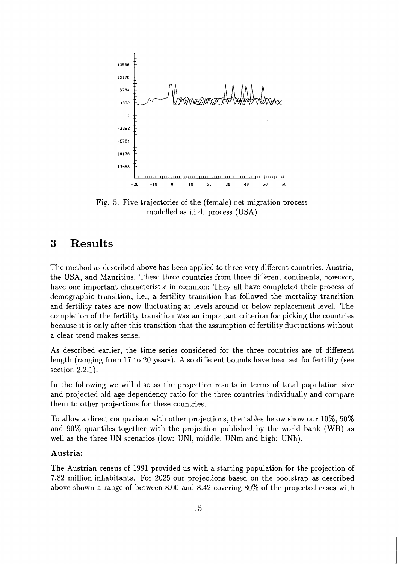

Fig. 5: Five trajectories of the (female) net migration process modelled as i.i.d. process (USA)

#### 3 **Results**

The method as described above has been applied to three very different countries, Austria, the USA, and Mauritius. These three countries from three different continents, however, have one important characteristic in common: They all have completed their process of demographic transition, i.e., a fertility transition has followed the mortality transition and fertility rates are now fluctuating at levels around or below replacement level. The completion of the fertility transition was an important criterion for picking the countries because it is only after this transition that the assumption of fertility fluctuations without a clear trend makes sense.

As described earlier, the time series considered for the three countries are of different length (ranging from 17 to 20 years). Also different bounds have been set for fertility (see section 2.2.1).

In the following we will discuss the projection results in terms of total population size and projected old age dependency ratio for the three countries individually and compare them to other projections for these countries.

To allow a direct comparison with other projections, the tables below show our 10\%, 50\% and 90% quantiles together with the projection published by the world bank (WB) as well as the three UN scenarios (low: UNI, middle: UNm and high: UNh).

#### **Austria:**

The Austrian census of 1991 provided us with a starting population for the projection of 7.82 million inhabitants. For 2025 our projections based on the bootstrap as described above shown a range of between 8.00 and 8.42 covering 80% of the projected cases with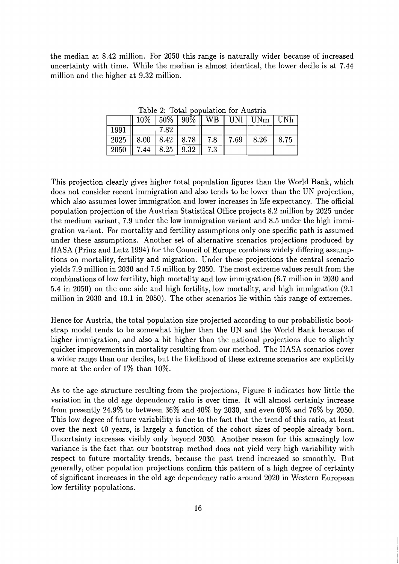the median at 8.42 million. For 2050 this range is naturally wider because of increased uncertainty with time. While the median is almost identical, the lower decile is at 7.44 million and the higher at 9.32 million.

|                                   |      |                             |                  | $10\%$   50%   90%    WB    UNI   UNm   UNh |      |
|-----------------------------------|------|-----------------------------|------------------|---------------------------------------------|------|
| 1991                              | 7.82 |                             |                  |                                             |      |
| 2025    8.00   8.42   8.78    7.8 |      |                             | $\parallel 7.69$ | 8.26                                        | 8.75 |
| $\mid 2050 \mid$                  |      | $7.44$   8.25   9.32    7.3 |                  |                                             |      |

Table 2: Total population for Austria

This projection clearly gives higher total population figures than the World Bank, which does not consider recent immigration and also tends to be lower than the UN projection, which also assumes lower immigration and lower increases in life expectancy. The official population projection of the Austrian Statistical Office projects 8.2 million by 2025 under the medium variant, 7.9 under the low immigration variant and 8.5 under the high immigration variant. For mortality and fertility assumptions only one specific path is assumed under these assumptions. Another set of alternative scenarios projections produced by IIASA (Prinz and Lutz 1994) for the Council of Europe combines widely differing assumptions on mortality, fertility and migration. Under these projections the central scenario yields 7.9 million in 2030 and 7.6 million by 2050. The most extreme values result from the combinations of low fertility, high mortality and low immigration (6.7 million in 2030 and 5.4 in 2050) on the one side and high fertility, low mortality, and high immigration (9.1 million in 2030 and 10.1 in 2050). The other scenarios lie within this range of extremes.

Hence for Austria, the total population size projected according to our probabilistic bootstrap model tends to be somewhat higher than the UN and the World Bank because of higher immigration, and also a bit higher than the national projections due to slightly quicker improvements in mortality resulting from our method. The IIASA scenarios cover a wider range than our deciles, but the likelihood of these extreme scenarios are explicitly more at the order of 1% than 10%.

As to the age structure resulting from the projections, Figure 6 indicates how little the variation in the old age dependency ratio is over time. It will almost certainly increase from presently 24.9% to between 36% and 40% by 2030, and even 60% and 76% by 2050. This low degree of future variability is due to the fact that the trend of this ratio, at least over the next 40 years, is largely a function of the cohort sizes of people already born. Uncertainty increases visibly only beyond 2030. Another reason for this amazingly low variance is the fact that our bootstrap method does not yield very high variability with respect to future mortality trends, because the past trend increased so smoothly. But generally, other population projections confirm this pattern of a high degree of certainty of significant increases in the old age dependency ratio around 2020 in Western European low fertility populations.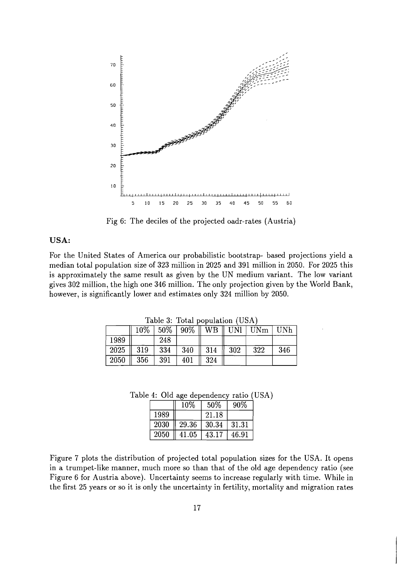

Fig 6: The deciles of the projected oadr-rates (Austria)

#### **USA:**

For the United States of America our probabilistic bootstrap- based projections yield a median total population size of 323 million in 2025 and **391** million in 2050. For 2025 this is approximately the same result as given by the UN medium variant. The low variant gives 302 million, the high one 346 million. The only projection given by the World Bank, however, is significantly lower and estimates only 324 million by 2050.

|                      | rable $\sigma$ . Total population ( $\sigma$ $\sigma$ )<br>$10\%$ 50% 90% WB UNI UN |     |     |     |                 |     | UNh |
|----------------------|-------------------------------------------------------------------------------------|-----|-----|-----|-----------------|-----|-----|
|                      |                                                                                     |     |     |     |                 |     |     |
| 1989                 |                                                                                     | 248 |     |     |                 |     |     |
| $2025 \parallel 319$ |                                                                                     | 334 | 340 | 314 | $\parallel$ 302 | 322 | 346 |
| 2050                 | - 356                                                                               | 391 | 401 | 324 |                 |     |     |

Table 3: Total population (USA)

Table 4: Old age dependency ratio (USA)

|      | 10\%  | 50%   | 90%   |
|------|-------|-------|-------|
| 1989 |       | 21.18 |       |
| 2030 | 29.36 | 30.34 | 31.31 |
| 2050 | 41.05 | 43.17 | 46.91 |

Figure 7 plots the distribution of projected total population sizes for the USA. It opens in a trumpet-like manner, much more so than that of the old age dependency ratio (see Figure 6 for Austria above). Uncertainty seems to increase regularly with time. While in the first 25 years or so it is only the uncertainty in fertility, mortality and migration rates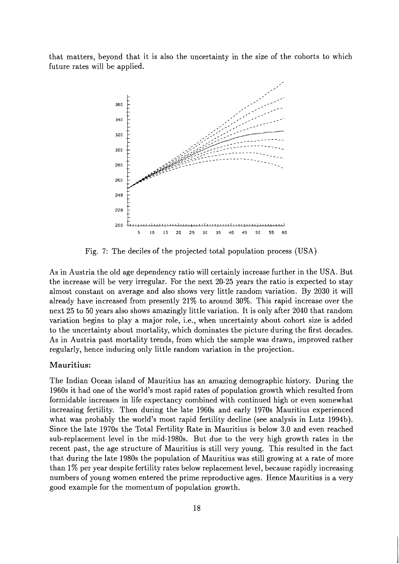that matters, beyond that it is also the uncertainty in the size of the cohorts to which future rates will be applied.



Fig. 7: The deciles of the projected total population process (USA)

As in Austria the old age dependency ratio will certainly increase further in the USA. But the increase will be very irregular. For the next 20-25 years the ratio is expected to stay almost constant on average and also shows very little random variation. By 2030 it will already have increased from presently 21% to around 30%. This rapid increase over the next 25 to 50 years also shows amazingly little variation. It is only after 2040 that random variation begins to play a major role, i.e., when uncertainty about cohort size is added to the uncertainty about mortality, which dominates the picture during the first decades. As in Austria past mortality trends, from which the sample was drawn, improved rather regularly, hence inducing only little random variation in the projection.

#### **Mauritius:**

The Indian Ocean island of Mauritius has an amazing demographic history. During the 1960s it had one of the world's most rapid rates of population growth which resulted from formidable increases in life expectancy combined with continued high or even somewhat increasing fertility. Then during the late 1960s and early 1970s Mauritius experienced what was probably the world's most rapid fertility decline (see analysis in Lutz 1994b). Since the late 1970s the Total Fertility Rate in Mauritius is below 3.0 and even reached sub-replacement level in the mid-1980s. But due to the very high growth rates in the recent past, the age structure of Mauritius is still very young. This resulted in the fact that during the late 1980s the population of Mauritius was still growing at a rate of more than 1% per year despite fertility rates below replacement level, because rapidly increasing numbers of young women entered the prime reproductive ages. Hence Mauritius is a very good example for the momentum of population growth.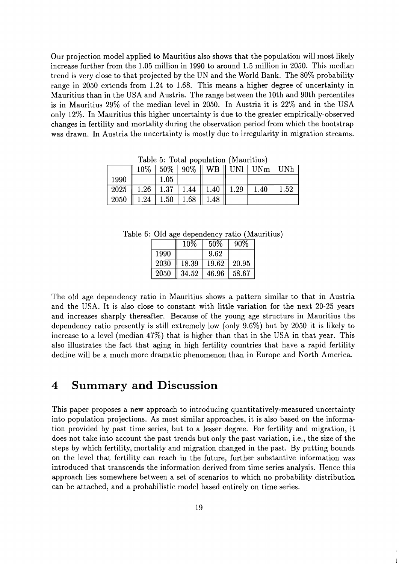Our projection model applied to Mauritius also shows that the population will most likely increase further from the 1.05 million in 1990 to around 1.5 million in 2050. This median trend is very close to that projected by the UN and the World Bank. The 80% probability range in 2050 extends from 1.24 to 1.68. This means a higher degree of uncertainty in Mauritius than in the USA and Austria. The range between the 10th and 90th percentiles is in Mauritius 29% of the median level in 2050. In Austria it is 22% and in the USA only 12%. In Mauritius this higher uncertainty is due to the greater empirically-observed changes in fertility and mortality during the observation period from which the bootstrap was drawn. In Austria the uncertainty is mostly due to irregularity in migration streams.

|      |                                      |      |                                              | $10\%$   50%   90%    WB    UNI   UNm   UNh |      |
|------|--------------------------------------|------|----------------------------------------------|---------------------------------------------|------|
| 1990 |                                      | 1.05 |                                              |                                             |      |
|      |                                      |      | $2025$    1.26   1.37   1.44    1.40    1.29 | 1.40                                        | 1.52 |
|      | $2050$    1.24   1.50   1.68    1.48 |      |                                              |                                             |      |

Table 5: Total population (Mauritius)

Table 6: Old age dependency ratio (Mauritius)

|      | 10%   | $50\%$ | 90%   |
|------|-------|--------|-------|
| 1990 |       | 9.62   |       |
| 2030 | 18.39 | 19.62  | 20.95 |
| 2050 | 34.52 | 46.96  | 58.67 |

The old age dependency ratio in Mauritius shows a pattern similar to that in Austria and the USA. It is also close to constant with little variation for the next 20-25 years and increases sharply thereafter. Because of the young age structure in Mauritius the dependency ratio presently is still extremely low (only 9.6%) but by 2050 it is likely to increase to a level (median 47%) that is higher than that in the USA in that year. This also illustrates the fact that aging in high fertility countries that have a rapid fertility decline will be a much more dramatic phenomenon than in Europe and North America.

## **4 Summary and Discussion**

This paper proposes a new approach to introducing quantitatively-measured uncertainty into population projections. As most similar approaches, it is also based on the information provided by past time series, but to a lesser degree. For fertility and migration, it does not take into account the past trends but only the past variation, i.e., the size of the steps by which fertility, mortality and migration changed in the past. By putting bounds on the level that fertility can reach in the future, further substantive information was introduced that transcends the information derived from time series analysis. Hence this approach lies somewhere between a set of scenarios to which no probability distribution can be attached, and a probabilistic model based entirely on time series.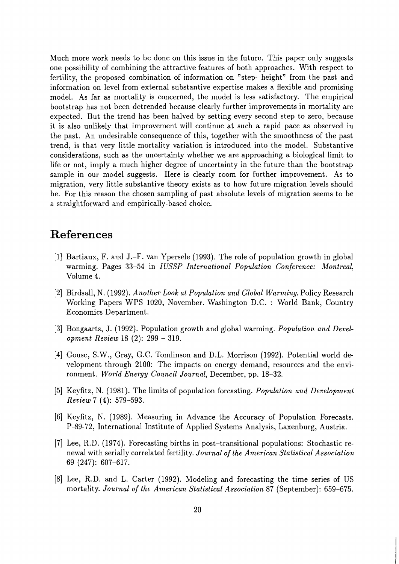Much more work needs to be done on this issue in the future. This paper only suggests one possibility of combining the attractive features of both approaches. With respect to fertility, the proposed combination of information on "step- height" from the past and information on level from external substantive expertise makes a flexible and promising model. As far as mortality is concerned, the model is less satisfactory. The empirical bootstrap has not been detrended because clearly further improvements in mortality are expected. But the trend has been halved by setting every second step to zero, because it is also unlikely that improvement will continue at such a rapid pace as observed in the past. An undesirable consequence of this, together with the smoothness of the past trend, is that very little mortality variation is introduced into the model. Substantive considerations, such as the uncertainty whether we are approaching a biological limit to life or not, imply a much higher degree of uncertainty in the future than the bootstrap sample in our model suggests. Here is clearly room for further improvement. As to migration, very little substantive theory exists as to how future migration levels should be. For this reason the chosen sampling of past absolute levels of migration seems to be a straightforward and empirically-based choice.

## **References**

- [I] Bartiaux, F. and J.-F. van Ypersele (1993). The role of population growth in global warming. Pages 33-54 in *IUSSP International Population Conference: Montreal,*  Volume 4.
- [2] Birdsall, N. (1992). *Another Look at Population and Global Warming.* Policy Research Working Papers WPS 1020, November. Washington D.C. : World Bank, Country Economics Department.
- [3] Bongaarts, J. (1992). Population growth and global warming. *Population and Development Review* 18 (2): 299 - 319.
- [4] Gouse, S.W., Gray, G.C. Tomlinson and D.L. Morrison (1992). Potential world development through 2100: The impacts on energy demand, resources and the environment. *World Energy Council Journal,* December, pp. 18-32.
- [5] Keyfitz, N. (1981). The limits of population forcasting. *Population and Development Review* 7 (4): 579-593.
- [6] Keyfitz, N. (1989). Measuring in Advance the Accuracy of Population Forecasts. P-89-72, International Institute of Applied Systems Analysis, Laxenburg, Austria.
- [7] Lee, R.D. (1974). Forecasting births in post-transitional populations: Stochastic renewal with serially correlated fertility. *Journal of the American Statistical Association*  69 (247): 607-617.
- [8] Lee, R.D. and L. Carter (1992). Modeling and forecasting the time series of US mortality. *Journal of the American Statistical Association* 87 (September): 659-675.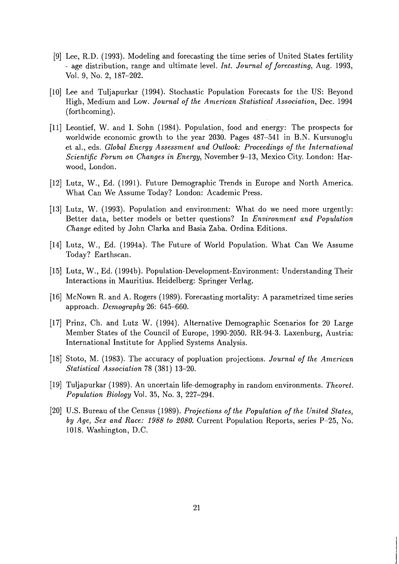- [9] Lee, R.D. (1993). Modeling and forecasting the time series of United States fertility - age distribution, range and ultimate level. *Int. Journal of forecasting,* Aug. 1993, Vol. 9, No. 2, 187-202.
- [lo] Lee and Tuljapurkar (1994). Stochastic Population Forecasts for the US: Beyond High, Medium and Low. *Journal of the American Statistical Association,* Dec. 1994 (forthcoming).
- [11] Leontief, W. and I. Sohn (1984). Population, food and energy: The prospects for worldwide economic growth to the year 2030. Pages 487-541 in B.N. Kursunoglu et al., eds. *Global Energy Assessment and Outlook: Proceedings of the International Scientific Forum on Changes in Energy,* November 9-13, Mexico City. London: Harwood, London.
- [12] Lutz, W., Ed. (1991). Future Demographic Trends in Europe and North America. What Can We Assume Today? London: Academic Press.
- 1131 Lutz, W. (1993). Population and environment: What do we need more urgently: Better data, better models or better questions? In *Environment and Population Change* edited by John Clarka and Basia Zaba. Ordina Editions.
- [14] Lutz, W., Ed. (1994a). The Future of World Population. What Can We Assume Today? Earthscan.
- [15] Lutz, W., Ed. (1994b). Population-Development-Environment: Understanding Their Interactions in Mauritius. Heidelberg: Springer Verlag.
- [16] McNown R. and A. Rogers (1989). Forecasting mortality: A parametrized time series approach. *Demography* 26: 645-660.
- [17] Prinz, Ch. and Lutz W. (1994). Alternative Demographic Scenarios for 20 Large Member States of the Council of Europe, 1990-2050. RR-94-3. Laxenburg, Austria: International Institute for Applied Systems Analysis.
- 1181 Stoto, M. (1983). The accuracy of popluation projections. *Journal of the American Statistical Association* 78 (381) 13-20.
- 1191 Tuljapurkar (1989). An uncertain life-demography in random environments. *Theoret. Population Biology* Vol. 35, No. 3, 227-294.
- 1201 U.S. Bureau of the Census (1989). *Projections of the Population of the United States, by Age, Sex and Race: 1988 to 2080.* Current Population Reports, series P-25, No. 1018. Washington, D.C.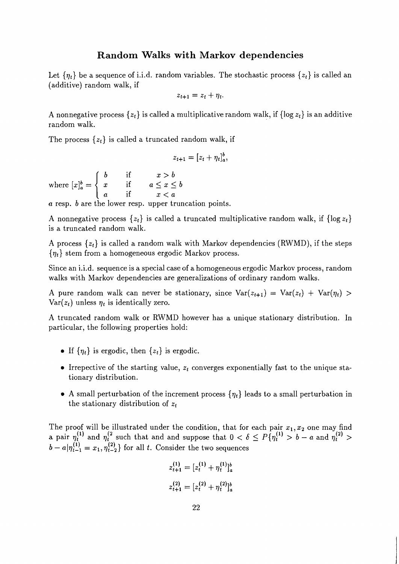#### **Random Walks with Markov dependencies**

Let  $\{\eta_t\}$  be a sequence of i.i.d. random variables. The stochastic process  $\{z_t\}$  is called an (additive) random walk, if

$$
z_{t+1} = z_t + \eta_t.
$$

A nonnegative process  $\{z_t\}$  is called a multiplicative random walk, if  $\{\log z_t\}$  is an additive random walk.

The process  $\{z_t\}$  is called a truncated random walk, if

$$
z_{t+1}=[z_t+\eta_t]_a^b,
$$

if  $x>b$  $a\leq x\leq b$  $x < a$ *a* resp. b are the lower resp. upper truncation points.

A nonnegative process  $\{z_t\}$  is called a truncated multiplicative random walk, if  $\{\log z_t\}$ is a truncated random walk.

A process  $\{z_t\}$  is called a random walk with Markov dependencies (RWMD), if the steps  ${\eta_t}$  stem from a homogeneous ergodic Markov process.

Since an i.i.d. sequence is a special case of a homogeneous ergodic Markov process, random walks with Markov dependencies are generalizations of ordinary random walks.

A pure random walk can never be stationary, since  $Var(z_{t+1}) = Var(z_t) + Var(\eta_t) >$  $Var(z_t)$  unless  $\eta_t$  is identically zero.

**A** truncated random walk or RWMD however has a unique stationary distribution. In particular, the following properties hold:

- If  $\{\eta_t\}$  is ergodic, then  $\{z_t\}$  is ergodic.
- Irrepective of the starting value,  $z_t$  converges exponentially fast to the unique stationary distribution.
- A small perturbation of the increment process  $\{\eta_t\}$  leads to a small perturbation in the stationary distribution of  $z_t$

The proof will be illustrated under the condition, that for each pair  $x_1, x_2$  one may find a pair  $\eta_t^{(1)}$  and  $\eta_t^{(2)}$  such that and and suppose that  $0 < \delta \leq P\{\eta_t^{(1)} > b - a$  and  $\eta_t^{(2)} > b$ a pair  $\eta_t^{\lambda}$  and  $\eta_t^{\lambda}$  such that and and suppose that  $0 < \delta$ <br>  $b - a|\eta_{t-1}^{(1)} = x_1, \eta_{t-2}^{(2)}\}$  for all t. Consider the two sequences

$$
z_{t+1}^{(1)} = [z_t^{(1)} + \eta_t^{(1)}]_a^b
$$
  

$$
z_{t+1}^{(2)} = [z_t^{(2)} + \eta_t^{(2)}]_a^b
$$